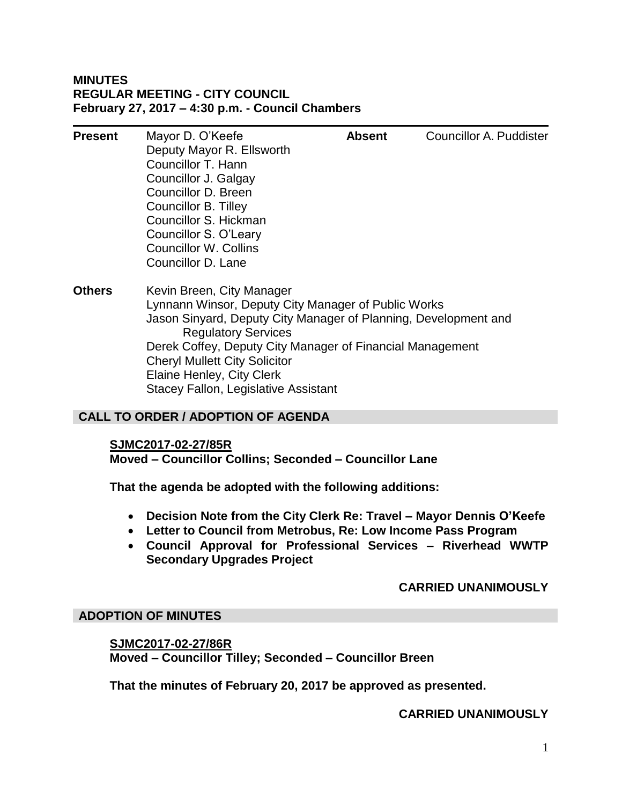## **MINUTES REGULAR MEETING - CITY COUNCIL February 27, 2017 – 4:30 p.m. - Council Chambers**

| <b>Present</b> | Mayor D. O'Keefe<br>Deputy Mayor R. Ellsworth                                    | <b>Absent</b> | Councillor A. Puddister |
|----------------|----------------------------------------------------------------------------------|---------------|-------------------------|
|                | Councillor T. Hann                                                               |               |                         |
|                | Councillor J. Galgay                                                             |               |                         |
|                | Councillor D. Breen                                                              |               |                         |
|                | Councillor B. Tilley                                                             |               |                         |
|                | Councillor S. Hickman                                                            |               |                         |
|                | Councillor S. O'Leary                                                            |               |                         |
|                | <b>Councillor W. Collins</b>                                                     |               |                         |
|                | Councillor D. Lane                                                               |               |                         |
| <b>Others</b>  | Kevin Breen, City Manager<br>Lynnann Winsor, Deputy City Manager of Public Works |               |                         |
|                | Jason Sinyard, Deputy City Manager of Planning, Development and                  |               |                         |
|                | <b>Regulatory Services</b>                                                       |               |                         |
|                | Derek Coffey, Deputy City Manager of Financial Management                        |               |                         |
|                | <b>Cheryl Mullett City Solicitor</b>                                             |               |                         |
|                | Elaine Henley, City Clerk                                                        |               |                         |
|                | Stacey Fallon, Legislative Assistant                                             |               |                         |

# **CALL TO ORDER / ADOPTION OF AGENDA**

#### **SJMC2017-02-27/85R**

**Moved – Councillor Collins; Seconded – Councillor Lane**

**That the agenda be adopted with the following additions:**

- **Decision Note from the City Clerk Re: Travel – Mayor Dennis O'Keefe**
- **Letter to Council from Metrobus, Re: Low Income Pass Program**
- **Council Approval for Professional Services – Riverhead WWTP Secondary Upgrades Project**

#### **CARRIED UNANIMOUSLY**

#### **ADOPTION OF MINUTES**

**SJMC2017-02-27/86R Moved – Councillor Tilley; Seconded – Councillor Breen**

**That the minutes of February 20, 2017 be approved as presented.**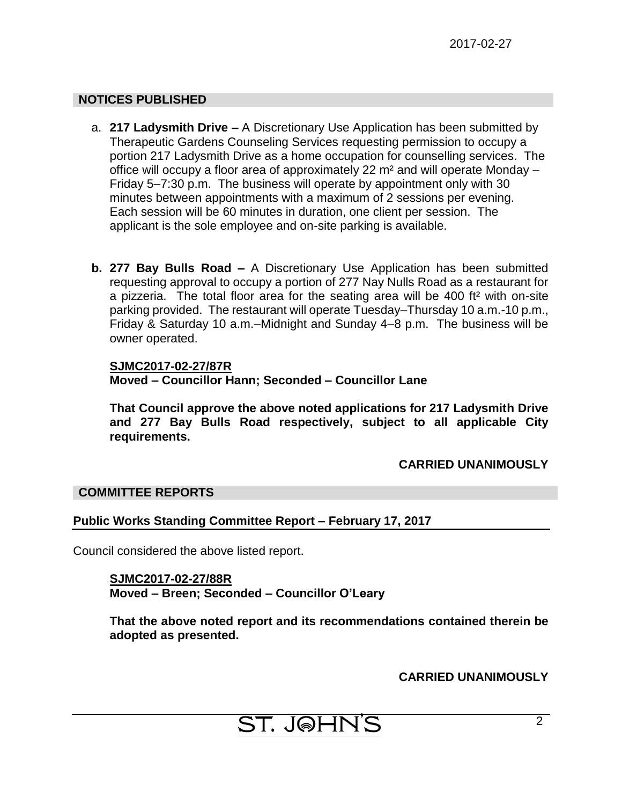# **NOTICES PUBLISHED**

- a. **217 Ladysmith Drive –** A Discretionary Use Application has been submitted by Therapeutic Gardens Counseling Services requesting permission to occupy a portion 217 Ladysmith Drive as a home occupation for counselling services. The office will occupy a floor area of approximately 22 m² and will operate Monday – Friday 5–7:30 p.m. The business will operate by appointment only with 30 minutes between appointments with a maximum of 2 sessions per evening. Each session will be 60 minutes in duration, one client per session. The applicant is the sole employee and on-site parking is available.
- **b. 277 Bay Bulls Road –** A Discretionary Use Application has been submitted requesting approval to occupy a portion of 277 Nay Nulls Road as a restaurant for a pizzeria. The total floor area for the seating area will be 400 ft² with on-site parking provided. The restaurant will operate Tuesday–Thursday 10 a.m.-10 p.m., Friday & Saturday 10 a.m.–Midnight and Sunday 4–8 p.m. The business will be owner operated.

# **SJMC2017-02-27/87R Moved – Councillor Hann; Seconded – Councillor Lane**

**That Council approve the above noted applications for 217 Ladysmith Drive and 277 Bay Bulls Road respectively, subject to all applicable City requirements.**

# **CARRIED UNANIMOUSLY**

## **COMMITTEE REPORTS**

# **Public Works Standing Committee Report – February 17, 2017**

Council considered the above listed report.

**SJMC2017-02-27/88R Moved – Breen; Seconded – Councillor O'Leary**

**That the above noted report and its recommendations contained therein be adopted as presented.**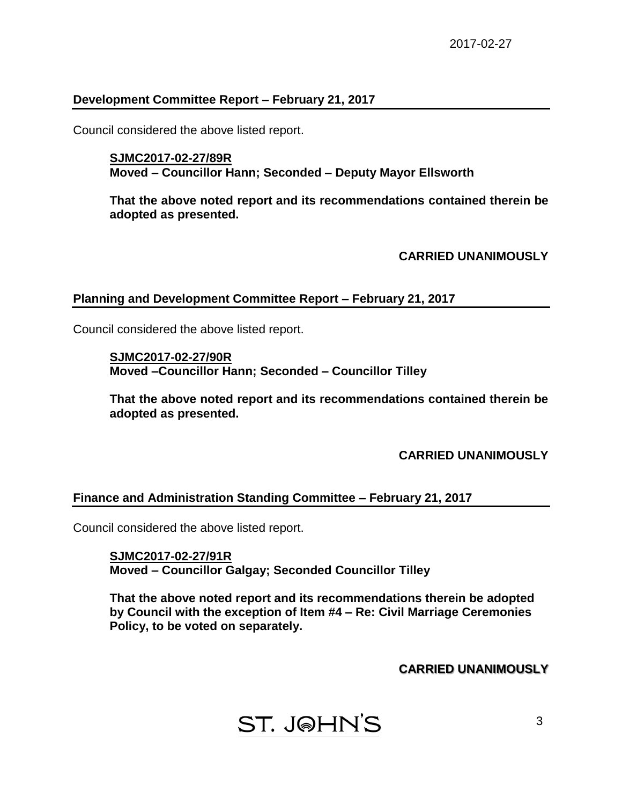# **Development Committee Report – February 21, 2017**

Council considered the above listed report.

**SJMC2017-02-27/89R Moved – Councillor Hann; Seconded – Deputy Mayor Ellsworth**

**That the above noted report and its recommendations contained therein be adopted as presented.**

**CARRIED UNANIMOUSLY**

#### **Planning and Development Committee Report – February 21, 2017**

Council considered the above listed report.

**SJMC2017-02-27/90R Moved –Councillor Hann; Seconded – Councillor Tilley**

**That the above noted report and its recommendations contained therein be adopted as presented.**

**CARRIED UNANIMOUSLY**

## **Finance and Administration Standing Committee – February 21, 2017**

Council considered the above listed report.

**SJMC2017-02-27/91R Moved – Councillor Galgay; Seconded Councillor Tilley**

**That the above noted report and its recommendations therein be adopted by Council with the exception of Item #4 – Re: Civil Marriage Ceremonies Policy, to be voted on separately.**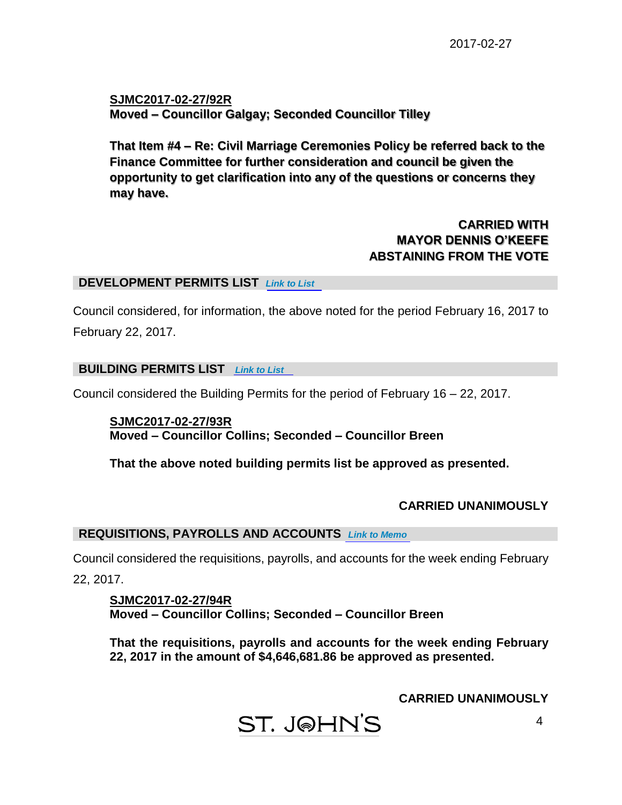**SJMC2017-02-27/92R Moved – Councillor Galgay; Seconded Councillor Tilley**

**That Item #4 – Re: Civil Marriage Ceremonies Policy be referred back to the Finance Committee for further consideration and council be given the opportunity to get clarification into any of the questions or concerns they may have.**

# **CARRIED WITH MAYOR DENNIS O'KEEFE ABSTAINING FROM THE VOTE**

#### **DEVELOPMENT PERMITS LIST** *[Link to List](#page-7-0)*

Council considered, for information, the above noted for the period February 16, 2017 to February 22, 2017.

#### **BUILDING PERMITS LIST** *[Link to List](#page-8-0)*

Council considered the Building Permits for the period of February 16 – 22, 2017.

**SJMC2017-02-27/93R Moved – Councillor Collins; Seconded – Councillor Breen**

**That the above noted building permits list be approved as presented.**

# **CARRIED UNANIMOUSLY**

## **REQUISITIONS, PAYROLLS AND ACCOUNTS** *[Link to Memo](#page-12-0)*

Council considered the requisitions, payrolls, and accounts for the week ending February 22, 2017.

**SJMC2017-02-27/94R Moved – Councillor Collins; Seconded – Councillor Breen**

**That the requisitions, payrolls and accounts for the week ending February 22, 2017 in the amount of \$4,646,681.86 be approved as presented.**

ST. J@HN'S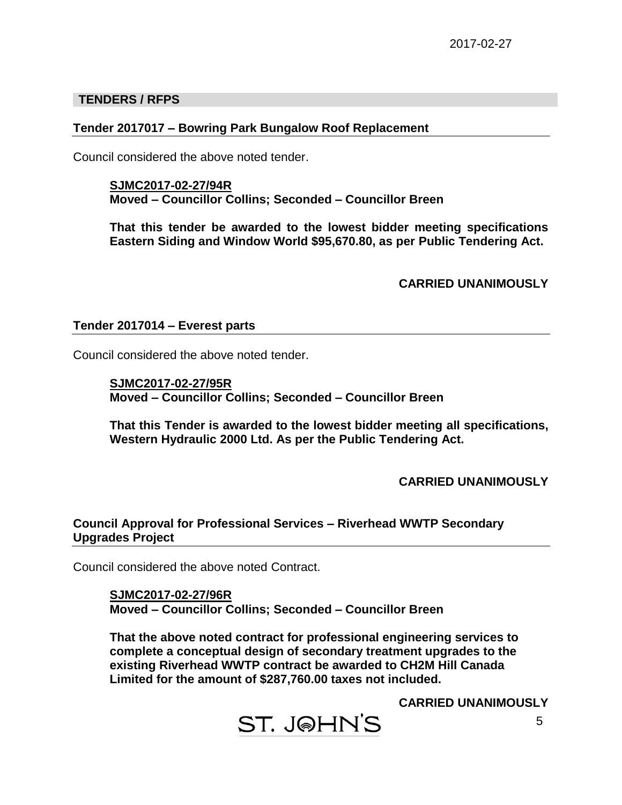## **TENDERS / RFPS**

# **Tender 2017017 – Bowring Park Bungalow Roof Replacement**

Council considered the above noted tender.

**SJMC2017-02-27/94R Moved – Councillor Collins; Seconded – Councillor Breen**

**That this tender be awarded to the lowest bidder meeting specifications Eastern Siding and Window World \$95,670.80, as per Public Tendering Act.**

**CARRIED UNANIMOUSLY**

#### **Tender 2017014 – Everest parts**

Council considered the above noted tender.

**SJMC2017-02-27/95R Moved – Councillor Collins; Seconded – Councillor Breen**

**That this Tender is awarded to the lowest bidder meeting all specifications, Western Hydraulic 2000 Ltd. As per the Public Tendering Act.**

**CARRIED UNANIMOUSLY**

## **Council Approval for Professional Services – Riverhead WWTP Secondary Upgrades Project**

Council considered the above noted Contract.

**SJMC2017-02-27/96R Moved – Councillor Collins; Seconded – Councillor Breen**

**That the above noted contract for professional engineering services to complete a conceptual design of secondary treatment upgrades to the existing Riverhead WWTP contract be awarded to CH2M Hill Canada Limited for the amount of \$287,760.00 taxes not included.**

**ST. J@HN'S**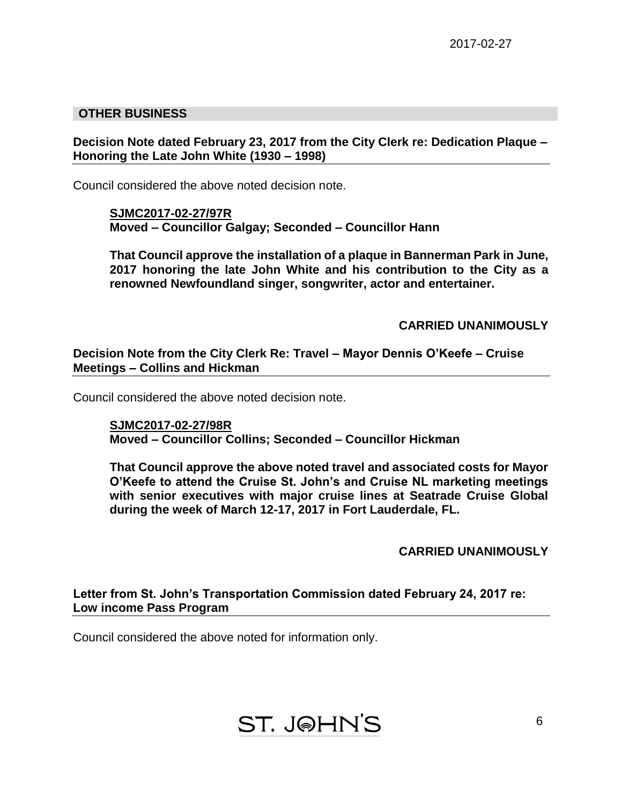# **OTHER BUSINESS**

## **Decision Note dated February 23, 2017 from the City Clerk re: Dedication Plaque – Honoring the Late John White (1930 – 1998)**

Council considered the above noted decision note.

**SJMC2017-02-27/97R Moved – Councillor Galgay; Seconded – Councillor Hann**

**That Council approve the installation of a plaque in Bannerman Park in June, 2017 honoring the late John White and his contribution to the City as a renowned Newfoundland singer, songwriter, actor and entertainer.**

**CARRIED UNANIMOUSLY**

**Decision Note from the City Clerk Re: Travel – Mayor Dennis O'Keefe – Cruise Meetings – Collins and Hickman**

Council considered the above noted decision note.

**SJMC2017-02-27/98R Moved – Councillor Collins; Seconded – Councillor Hickman**

**That Council approve the above noted travel and associated costs for Mayor O'Keefe to attend the Cruise St. John's and Cruise NL marketing meetings with senior executives with major cruise lines at Seatrade Cruise Global during the week of March 12-17, 2017 in Fort Lauderdale, FL.**

**CARRIED UNANIMOUSLY**

**Letter from St. John's Transportation Commission dated February 24, 2017 re: Low income Pass Program**

Council considered the above noted for information only.

**ST. J@HN'S**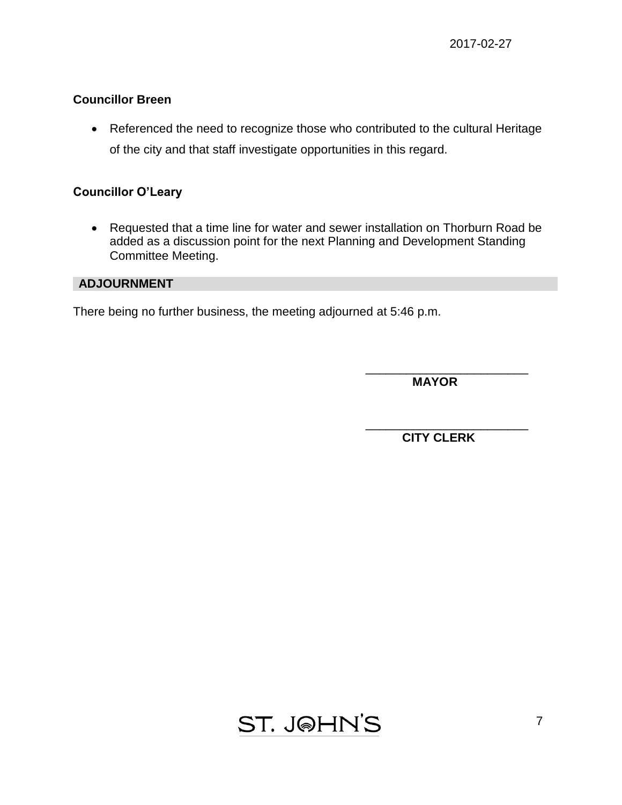# **Councillor Breen**

• Referenced the need to recognize those who contributed to the cultural Heritage of the city and that staff investigate opportunities in this regard.

# **Councillor O'Leary**

• Requested that a time line for water and sewer installation on Thorburn Road be added as a discussion point for the next Planning and Development Standing Committee Meeting.

# **ADJOURNMENT**

There being no further business, the meeting adjourned at 5:46 p.m.

\_\_\_\_\_\_\_\_\_\_\_\_\_\_\_\_\_\_\_\_\_\_\_\_  **MAYOR**

\_\_\_\_\_\_\_\_\_\_\_\_\_\_\_\_\_\_\_\_\_\_\_\_ **CITY CLERK**